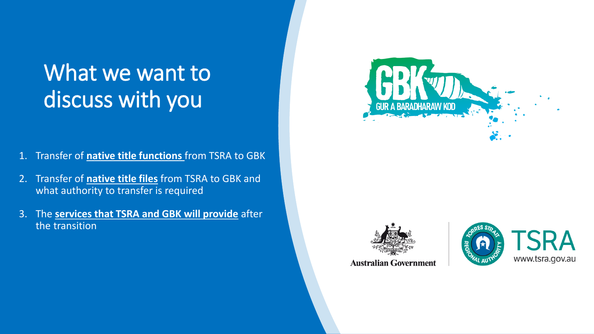## What we want to discuss with you

1. Transfer of **native title functions** from TSRA to GBK

- 2. Transfer of **native title files** from TSRA to GBK and what authority to transfer is required
- 3. The **services that TSRA and GBK will provide** after the transition





**Australian Government** 

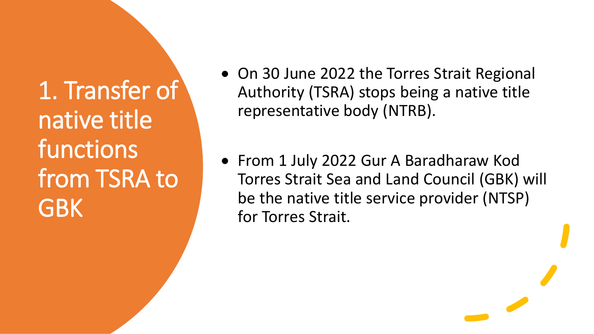1. Transfer of native title functions from TSRA to GBK

- On 30 June 2022 the Torres Strait Regional Authority (TSRA) stops being a native title representative body (NTRB).
- From 1 July 2022 Gur A Baradharaw Kod Torres Strait Sea and Land Council (GBK) will be the native title service provider (NTSP) for Torres Strait.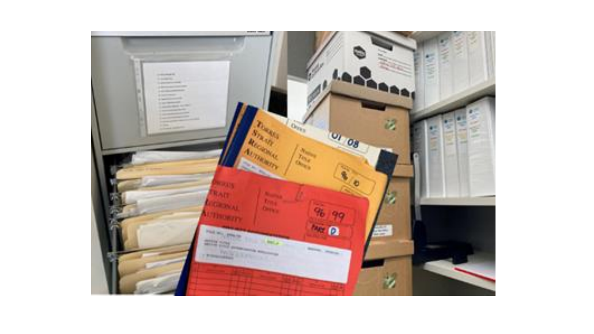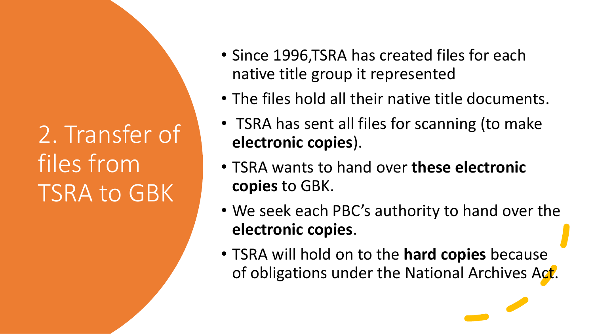## 2. Transfer of files from TSRA to GBK

- Since 1996,TSRA has created files for each native title group it represented
- The files hold all their native title documents.
- TSRA has sent all files for scanning (to make **electronic copies**).
- TSRA wants to hand over **these electronic copies** to GBK.
- We seek each PBC's authority to hand over the **electronic copies**.
- TSRA will hold on to the **hard copies** because of obligations under the National Archives Act.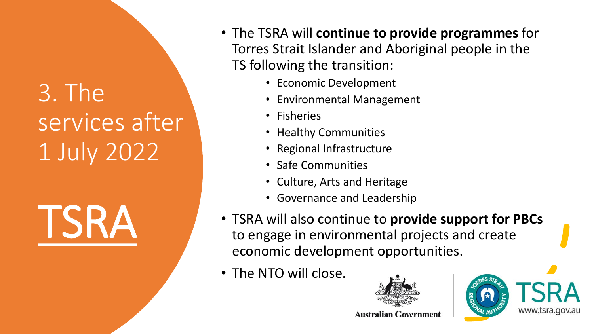## 3. The services after 1 July 2022

TSRA

- The TSRA will **continue to provide programmes** for Torres Strait Islander and Aboriginal people in the TS following the transition:
	- Economic Development
	- Environmental Management
	- Fisheries
	- Healthy Communities
	- Regional Infrastructure
	- Safe Communities
	- Culture, Arts and Heritage
	- Governance and Leadership
- TSRA will also continue to **provide support for PBCs**  to engage in environmental projects and create economic development opportunities.
- The NTO will close.